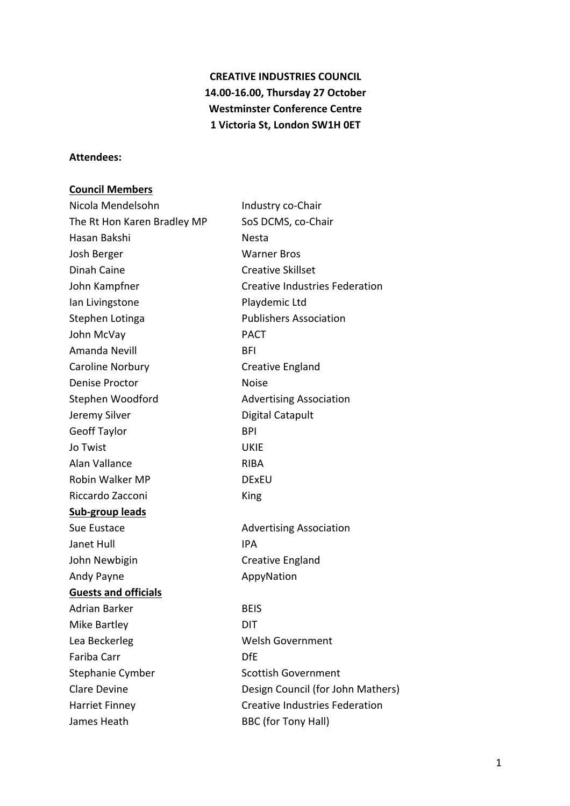# **CREATIVE INDUSTRIES COUNCIL** 14.00-16.00, Thursday 27 October **Westminster Conference Centre 1 Victoria St, London SW1H 0ET**

#### **Attendees:**

## **Council Members**

| Nicola Mendelsohn           | Industry co-Chair                     |
|-----------------------------|---------------------------------------|
| The Rt Hon Karen Bradley MP | SoS DCMS, co-Chair                    |
| Hasan Bakshi                | Nesta                                 |
| Josh Berger                 | <b>Warner Bros</b>                    |
| Dinah Caine                 | <b>Creative Skillset</b>              |
| John Kampfner               | <b>Creative Industries Federation</b> |
| Ian Livingstone             | Playdemic Ltd                         |
| Stephen Lotinga             | <b>Publishers Association</b>         |
| John McVay                  | <b>PACT</b>                           |
| Amanda Nevill               | BFI                                   |
| Caroline Norbury            | Creative England                      |
| <b>Denise Proctor</b>       | <b>Noise</b>                          |
| Stephen Woodford            | <b>Advertising Association</b>        |
| Jeremy Silver               | Digital Catapult                      |
| <b>Geoff Taylor</b>         | <b>BPI</b>                            |
| Jo Twist                    | <b>UKIE</b>                           |
| Alan Vallance               | RIBA                                  |
| Robin Walker MP             | <b>DExEU</b>                          |
| Riccardo Zacconi            | King                                  |
| <b>Sub-group leads</b>      |                                       |
| Sue Eustace                 | <b>Advertising Association</b>        |
| Janet Hull                  | <b>IPA</b>                            |
| John Newbigin               | Creative England                      |
| Andy Payne                  | AppyNation                            |
| <b>Guests and officials</b> |                                       |
| Adrian Barker               | <b>BEIS</b>                           |
| <b>Mike Bartley</b>         | DIT                                   |
| Lea Beckerleg               | <b>Welsh Government</b>               |
| Fariba Carr                 | <b>DfE</b>                            |
| Stephanie Cymber            | <b>Scottish Government</b>            |
| <b>Clare Devine</b>         | Design Council (for John Mathers)     |
| <b>Harriet Finney</b>       | <b>Creative Industries Federation</b> |
| James Heath                 | <b>BBC (for Tony Hall)</b>            |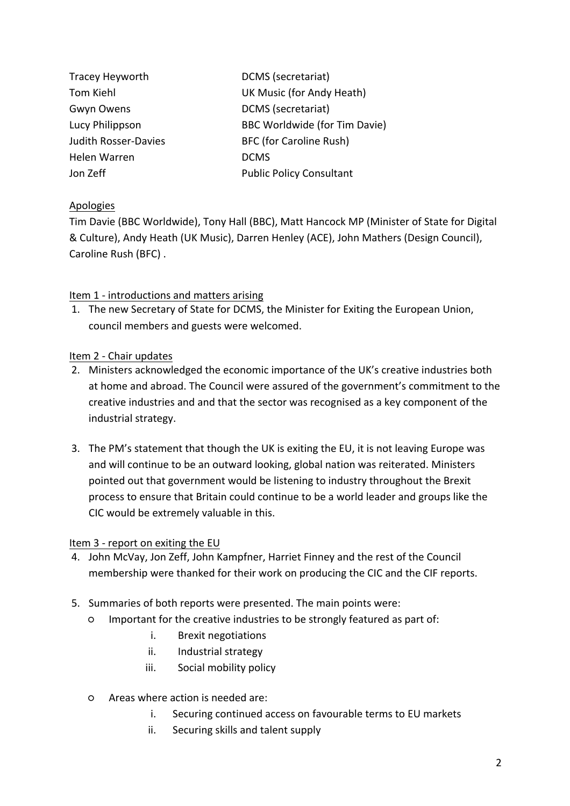| Tracey Heyworth             | DCMS (secretariat)              |
|-----------------------------|---------------------------------|
| <b>Tom Kiehl</b>            | UK Music (for Andy Heath)       |
| Gwyn Owens                  | DCMS (secretariat)              |
| Lucy Philippson             | BBC Worldwide (for Tim Davie)   |
| <b>Judith Rosser-Davies</b> | <b>BFC (for Caroline Rush)</b>  |
| Helen Warren                | <b>DCMS</b>                     |
| Jon Zeff                    | <b>Public Policy Consultant</b> |

# Apologies

Tim Davie (BBC Worldwide), Tony Hall (BBC), Matt Hancock MP (Minister of State for Digital & Culture), Andy Heath (UK Music), Darren Henley (ACE), John Mathers (Design Council), Caroline Rush (BFC).

## Item 1 - introductions and matters arising

1. The new Secretary of State for DCMS, the Minister for Exiting the European Union, council members and guests were welcomed.

## Item 2 - Chair updates

- 2. Ministers acknowledged the economic importance of the UK's creative industries both at home and abroad. The Council were assured of the government's commitment to the creative industries and and that the sector was recognised as a key component of the industrial strategy.
- 3. The PM's statement that though the UK is exiting the EU, it is not leaving Europe was and will continue to be an outward looking, global nation was reiterated. Ministers pointed out that government would be listening to industry throughout the Brexit process to ensure that Britain could continue to be a world leader and groups like the CIC would be extremely valuable in this.

#### Item 3 - report on exiting the EU

- 4. John McVay, Jon Zeff, John Kampfner, Harriet Finney and the rest of the Council membership were thanked for their work on producing the CIC and the CIF reports.
- 5. Summaries of both reports were presented. The main points were:
	- $\circ$  Important for the creative industries to be strongly featured as part of:
		- i. Brexit negotiations
		- ii. Industrial strategy
		- iii. Social mobility policy
	- Areas where action is needed are:
		- i. Securing continued access on favourable terms to EU markets
		- ii. Securing skills and talent supply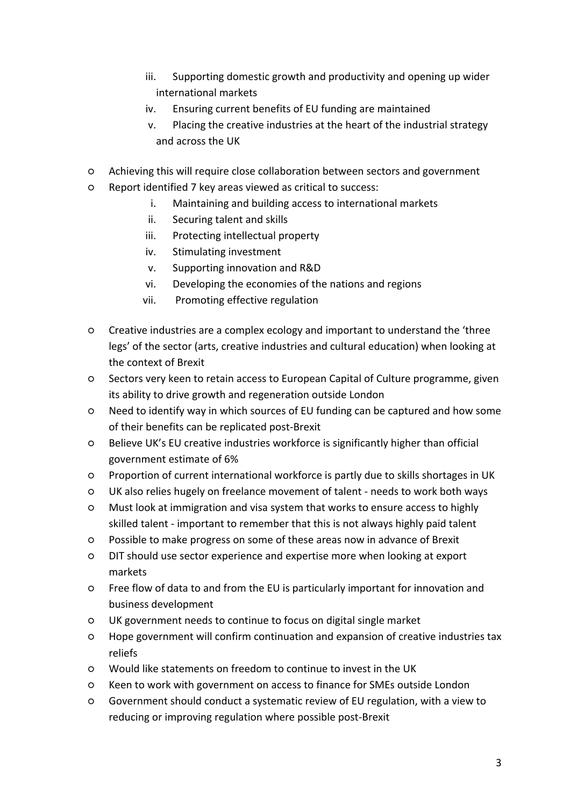- iii. Supporting domestic growth and productivity and opening up wider international markets
- iv. Ensuring current benefits of EU funding are maintained
- v. Placing the creative industries at the heart of the industrial strategy and across the UK
- $\circ$  Achieving this will require close collaboration between sectors and government
- $\circ$  Report identified 7 key areas viewed as critical to success:
	- i. Maintaining and building access to international markets
	- ii. Securing talent and skills
	- iii. Protecting intellectual property
	- iv. Stimulating investment
	- v. Supporting innovation and R&D
	- vi. Developing the economies of the nations and regions
	- vii. Promoting effective regulation
- $\circ$  Creative industries are a complex ecology and important to understand the 'three legs' of the sector (arts, creative industries and cultural education) when looking at the context of Brexit
- $\circ$  Sectors very keen to retain access to European Capital of Culture programme, given its ability to drive growth and regeneration outside London
- $\circ$  Need to identify way in which sources of EU funding can be captured and how some of their benefits can be replicated post-Brexit
- $\circ$  Believe UK's EU creative industries workforce is significantly higher than official government estimate of 6%
- Proportion of current international workforce is partly due to skills shortages in UK
- UK also relies hugely on freelance movement of talent - needs to work both ways
- $\circ$  Must look at immigration and visa system that works to ensure access to highly skilled talent - important to remember that this is not always highly paid talent
- $\circ$  Possible to make progress on some of these areas now in advance of Brexit
- DIT should use sector experience and expertise more when looking at export markets
- $\circ$  Free flow of data to and from the EU is particularly important for innovation and business development
- UK government needs to continue to focus on digital single market
- $\circ$  Hope government will confirm continuation and expansion of creative industries tax reliefs
- Would like statements on freedom to continue to invest in the UK
- $\circ$  Keen to work with government on access to finance for SMEs outside London
- $\circ$  Government should conduct a systematic review of EU regulation, with a view to reducing or improving regulation where possible post-Brexit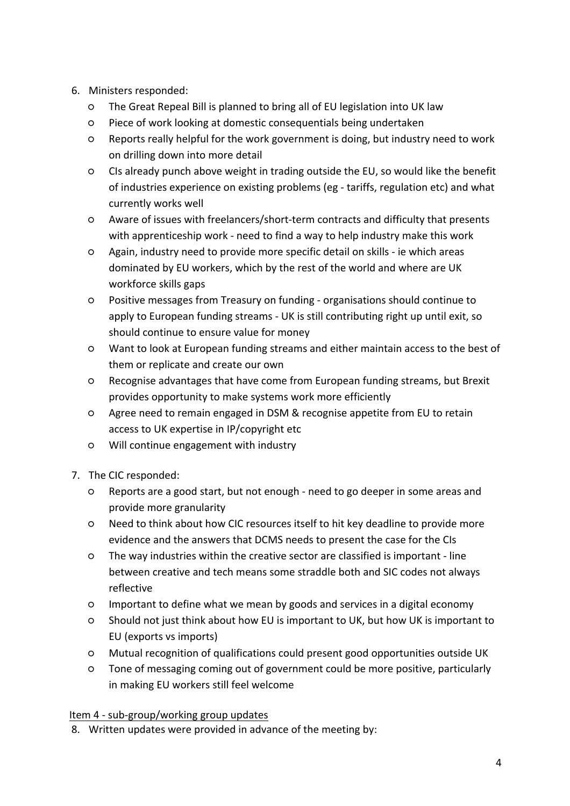- 6. Ministers responded:
	- $\circ$  The Great Repeal Bill is planned to bring all of EU legislation into UK law
	- Piece of work looking at domestic consequentials being undertaken
	- $\circ$  Reports really helpful for the work government is doing, but industry need to work on drilling down into more detail
	- $\circ$  CIs already punch above weight in trading outside the EU, so would like the benefit of industries experience on existing problems (eg - tariffs, regulation etc) and what currently works well
	- $\circ$  Aware of issues with freelancers/short-term contracts and difficulty that presents with apprenticeship work - need to find a way to help industry make this work
	- $\circ$  Again, industry need to provide more specific detail on skills ie which areas dominated by EU workers, which by the rest of the world and where are UK workforce skills gaps
	- Positive messages from Treasury on funding - organisations should continue to apply to European funding streams - UK is still contributing right up until exit, so should continue to ensure value for money
	- $\circ$  Want to look at European funding streams and either maintain access to the best of them or replicate and create our own
	- $\circ$  Recognise advantages that have come from European funding streams, but Brexit provides opportunity to make systems work more efficiently
	- O Agree need to remain engaged in DSM & recognise appetite from EU to retain access to UK expertise in IP/copyright etc
	- $\circ$  Will continue engagement with industry
- 7. The CIC responded:
	- $\circ$  Reports are a good start, but not enough need to go deeper in some areas and provide more granularity
	- Need to think about how CIC resources itself to hit key deadline to provide more evidence and the answers that DCMS needs to present the case for the CIs
	- $\circ$  The way industries within the creative sector are classified is important line between creative and tech means some straddle both and SIC codes not always reflective
	- $\circ$  Important to define what we mean by goods and services in a digital economy
	- $\circ$  Should not just think about how EU is important to UK, but how UK is important to EU (exports vs imports)
	- Mutual recognition of qualifications could present good opportunities outside UK
	- $\circ$  Tone of messaging coming out of government could be more positive, particularly in making EU workers still feel welcome

# Item 4 - sub-group/working group updates

8. Written updates were provided in advance of the meeting by: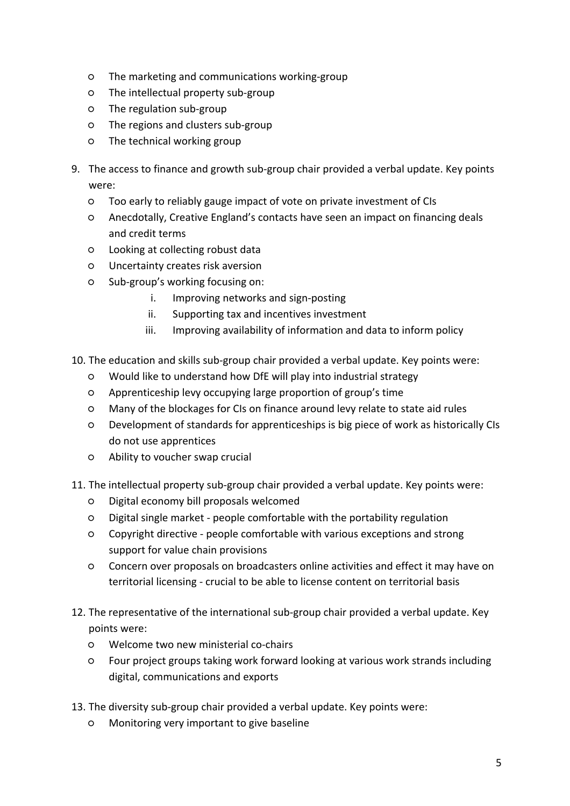- $\circ$  The marketing and communications working-group
- $\circ$  The intellectual property sub-group
- o The regulation sub-group
- o The regions and clusters sub-group
- $O$  The technical working group
- 9. The access to finance and growth sub-group chair provided a verbal update. Key points were:
	- $\circ$  Too early to reliably gauge impact of vote on private investment of CIs
	- $\circ$  Anecdotally, Creative England's contacts have seen an impact on financing deals and credit terms
	- Looking at collecting robust data
	- Uncertainty creates risk aversion
	- $\circ$  Sub-group's working focusing on:
		- i. Improving networks and sign-posting
		- ii. Supporting tax and incentives investment
		- iii. Improving availability of information and data to inform policy
- 10. The education and skills sub-group chair provided a verbal update. Key points were:
	- $\circ$  Would like to understand how DfE will play into industrial strategy
	- Apprenticeship levy occupying large proportion of group's time
	- $\circ$  Many of the blockages for CIs on finance around levy relate to state aid rules
	- Development of standards for apprenticeships is big piece of work as historically CIs do not use apprentices
	- $\circ$  Ability to voucher swap crucial
- 11. The intellectual property sub-group chair provided a verbal update. Key points were:
	- Digital economy bill proposals welcomed
	- Digital single market - people comfortable with the portability regulation
	- $\circ$  Copyright directive people comfortable with various exceptions and strong support for value chain provisions
	- $\circ$  Concern over proposals on broadcasters online activities and effect it may have on territorial licensing - crucial to be able to license content on territorial basis
- 12. The representative of the international sub-group chair provided a verbal update. Key points were:
	- o Welcome two new ministerial co-chairs
	- $\circ$  Four project groups taking work forward looking at various work strands including digital, communications and exports
- 13. The diversity sub-group chair provided a verbal update. Key points were:
	- Monitoring very important to give baseline